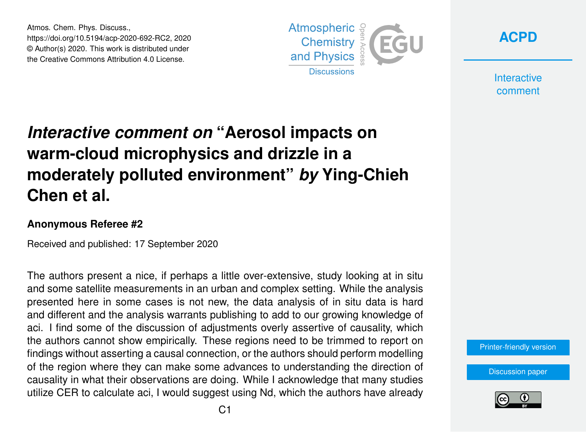Atmos. Chem. Phys. Discuss., https://doi.org/10.5194/acp-2020-692-RC2, 2020 © Author(s) 2020. This work is distributed under the Creative Commons Attribution 4.0 License.



**[ACPD](https://acp.copernicus.org/preprints/)**

**Interactive** comment

## *Interactive comment on* **"Aerosol impacts on warm-cloud microphysics and drizzle in a moderately polluted environment"** *by* **Ying-Chieh Chen et al.**

## **Anonymous Referee #2**

Received and published: 17 September 2020

The authors present a nice, if perhaps a little over-extensive, study looking at in situ and some satellite measurements in an urban and complex setting. While the analysis presented here in some cases is not new, the data analysis of in situ data is hard and different and the analysis warrants publishing to add to our growing knowledge of aci. I find some of the discussion of adjustments overly assertive of causality, which the authors cannot show empirically. These regions need to be trimmed to report on findings without asserting a causal connection, or the authors should perform modelling of the region where they can make some advances to understanding the direction of causality in what their observations are doing. While I acknowledge that many studies utilize CER to calculate aci, I would suggest using Nd, which the authors have already

[Printer-friendly version](https://acp.copernicus.org/preprints/acp-2020-692/acp-2020-692-RC2-print.pdf)

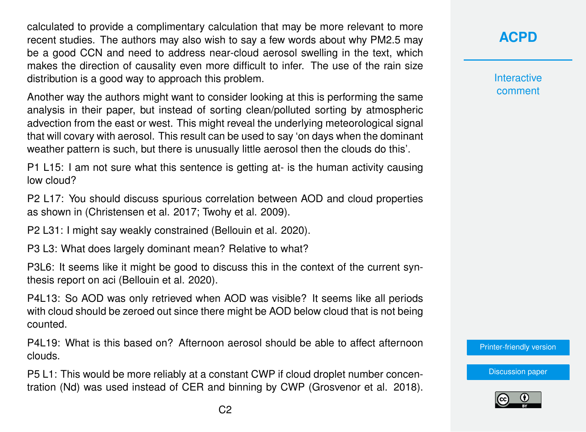calculated to provide a complimentary calculation that may be more relevant to more recent studies. The authors may also wish to say a few words about why PM2.5 may be a good CCN and need to address near-cloud aerosol swelling in the text, which makes the direction of causality even more difficult to infer. The use of the rain size distribution is a good way to approach this problem.

Another way the authors might want to consider looking at this is performing the same analysis in their paper, but instead of sorting clean/polluted sorting by atmospheric advection from the east or west. This might reveal the underlying meteorological signal that will covary with aerosol. This result can be used to say 'on days when the dominant weather pattern is such, but there is unusually little aerosol then the clouds do this'.

P1 L15: I am not sure what this sentence is getting at- is the human activity causing low cloud?

P2 L17: You should discuss spurious correlation between AOD and cloud properties as shown in (Christensen et al. 2017; Twohy et al. 2009).

P2 L31: I might say weakly constrained (Bellouin et al. 2020).

P3 L3: What does largely dominant mean? Relative to what?

P3L6: It seems like it might be good to discuss this in the context of the current synthesis report on aci (Bellouin et al. 2020).

P4L13: So AOD was only retrieved when AOD was visible? It seems like all periods with cloud should be zeroed out since there might be AOD below cloud that is not being counted.

P4L19: What is this based on? Afternoon aerosol should be able to affect afternoon clouds.

P5 L1: This would be more reliably at a constant CWP if cloud droplet number concentration (Nd) was used instead of CER and binning by CWP (Grosvenor et al. 2018). **Interactive** comment

[Printer-friendly version](https://acp.copernicus.org/preprints/acp-2020-692/acp-2020-692-RC2-print.pdf)

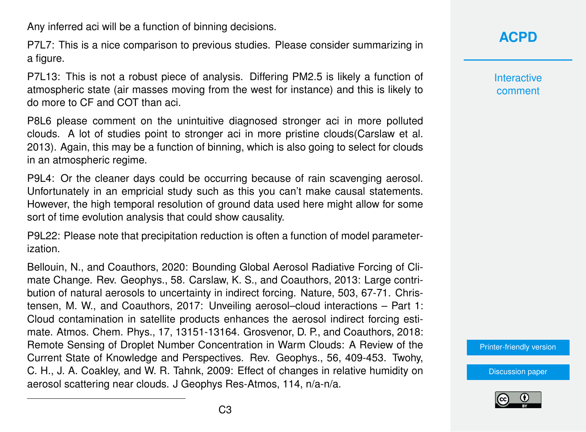Any inferred aci will be a function of binning decisions.

P7L7: This is a nice comparison to previous studies. Please consider summarizing in a figure.

P7L13: This is not a robust piece of analysis. Differing PM2.5 is likely a function of atmospheric state (air masses moving from the west for instance) and this is likely to do more to CF and COT than aci.

P8L6 please comment on the unintuitive diagnosed stronger aci in more polluted clouds. A lot of studies point to stronger aci in more pristine clouds(Carslaw et al. 2013). Again, this may be a function of binning, which is also going to select for clouds in an atmospheric regime.

P9L4: Or the cleaner days could be occurring because of rain scavenging aerosol. Unfortunately in an empricial study such as this you can't make causal statements. However, the high temporal resolution of ground data used here might allow for some sort of time evolution analysis that could show causality.

P9L22: Please note that precipitation reduction is often a function of model parameterization.

Bellouin, N., and Coauthors, 2020: Bounding Global Aerosol Radiative Forcing of Climate Change. Rev. Geophys., 58. Carslaw, K. S., and Coauthors, 2013: Large contribution of natural aerosols to uncertainty in indirect forcing. Nature, 503, 67-71. Christensen, M. W., and Coauthors, 2017: Unveiling aerosol–cloud interactions – Part 1: Cloud contamination in satellite products enhances the aerosol indirect forcing estimate. Atmos. Chem. Phys., 17, 13151-13164. Grosvenor, D. P., and Coauthors, 2018: Remote Sensing of Droplet Number Concentration in Warm Clouds: A Review of the Current State of Knowledge and Perspectives. Rev. Geophys., 56, 409-453. Twohy, C. H., J. A. Coakley, and W. R. Tahnk, 2009: Effect of changes in relative humidity on aerosol scattering near clouds. J Geophys Res-Atmos, 114, n/a-n/a.

**[ACPD](https://acp.copernicus.org/preprints/)**

**Interactive** comment

[Printer-friendly version](https://acp.copernicus.org/preprints/acp-2020-692/acp-2020-692-RC2-print.pdf)